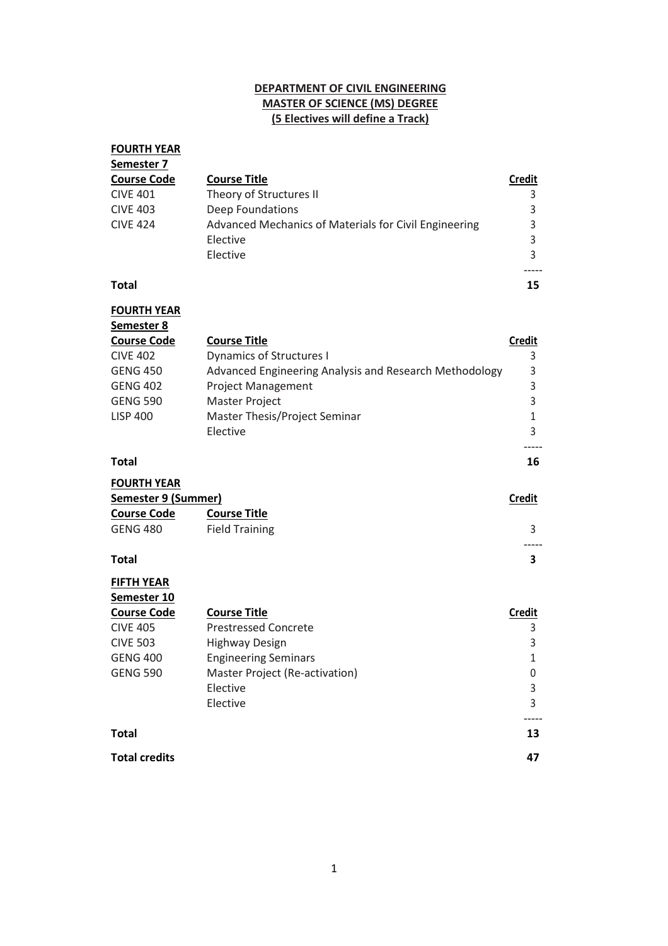## **DEPARTMENT OF CIVIL ENGINEERING MASTER OF SCIENCE (MS) DEGREE (5 Electives will define a Track)**

| <b>FOURTH YEAR</b> |                                                       |               |
|--------------------|-------------------------------------------------------|---------------|
| Semester 7         |                                                       |               |
| <b>Course Code</b> | <b>Course Title</b>                                   | <b>Credit</b> |
| <b>CIVE 401</b>    | Theory of Structures II                               |               |
| <b>CIVE 403</b>    | Deep Foundations                                      |               |
| <b>CIVE 424</b>    | Advanced Mechanics of Materials for Civil Engineering |               |
|                    | Elective                                              |               |
|                    | Elective                                              |               |
| <b>Total</b>       |                                                       | 15            |

**FOURTH YEAR Semester 8 Course Code Course Title Credit** CIVE 402 Dynamics of Structures I 3 GENG 450 Advanced Engineering Analysis and Research Methodology 3 GENG 402 Project Management 3 GENG 590 Master Project 3 LISP 400 Master Thesis/Project Seminar 1 Elective 3

-----

## **Total 16**

| <b>FOURTH YEAR</b>  |                       |               |
|---------------------|-----------------------|---------------|
| Semester 9 (Summer) |                       | <b>Credit</b> |
| <b>Course Code</b>  | <b>Course Title</b>   |               |
| GENG 480            | <b>Field Training</b> |               |
|                     |                       |               |

## **Total 3**

| <b>FIFTH YEAR</b>    |                                |               |
|----------------------|--------------------------------|---------------|
| Semester 10          |                                |               |
| <b>Course Code</b>   | <b>Course Title</b>            | <b>Credit</b> |
| <b>CIVE 405</b>      | <b>Prestressed Concrete</b>    | 3             |
| <b>CIVE 503</b>      | Highway Design                 | 3             |
| <b>GENG 400</b>      | <b>Engineering Seminars</b>    |               |
| <b>GENG 590</b>      | Master Project (Re-activation) | 0             |
|                      | Elective                       | 3             |
|                      | Elective                       | 3             |
| <b>Total</b>         |                                | 13            |
| <b>Total credits</b> |                                | 47            |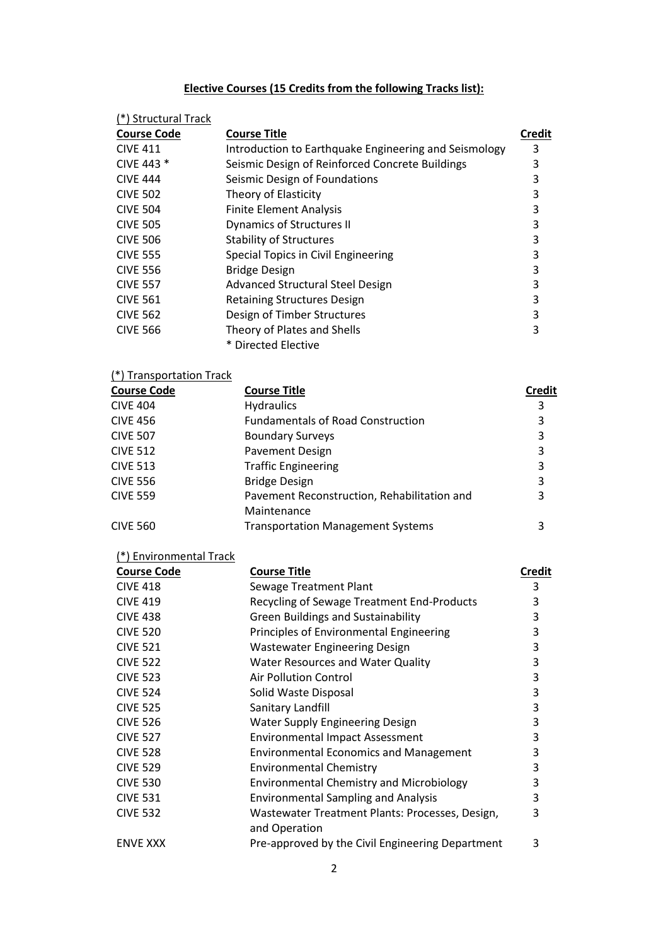# **Elective Courses (15 Credits from the following Tracks list):**

| <u>(*) Structural Track</u> |                                                                  |               |
|-----------------------------|------------------------------------------------------------------|---------------|
| <b>Course Code</b>          | <b>Course Title</b>                                              | <b>Credit</b> |
| <b>CIVE 411</b>             | Introduction to Earthquake Engineering and Seismology            | 3             |
| CIVE 443 *                  | Seismic Design of Reinforced Concrete Buildings                  | 3             |
| <b>CIVE 444</b>             | Seismic Design of Foundations                                    | 3             |
| <b>CIVE 502</b>             | Theory of Elasticity                                             | 3             |
| <b>CIVE 504</b>             | <b>Finite Element Analysis</b>                                   | 3             |
| <b>CIVE 505</b>             | <b>Dynamics of Structures II</b>                                 | 3             |
| <b>CIVE 506</b>             | <b>Stability of Structures</b>                                   | 3             |
| <b>CIVE 555</b>             | Special Topics in Civil Engineering                              | 3             |
| <b>CIVE 556</b>             | <b>Bridge Design</b>                                             | 3             |
| <b>CIVE 557</b>             | Advanced Structural Steel Design                                 | $\mathsf 3$   |
| <b>CIVE 561</b>             | <b>Retaining Structures Design</b>                               | 3             |
| <b>CIVE 562</b>             | Design of Timber Structures                                      | 3             |
| <b>CIVE 566</b>             | Theory of Plates and Shells                                      | 3             |
|                             | * Directed Elective                                              |               |
| (*) Transportation Track    |                                                                  |               |
| <b>Course Code</b>          | <b>Course Title</b>                                              | <b>Credit</b> |
| <b>CIVE 404</b>             | <b>Hydraulics</b>                                                | 3             |
| <b>CIVE 456</b>             | <b>Fundamentals of Road Construction</b>                         | 3             |
| <b>CIVE 507</b>             | <b>Boundary Surveys</b>                                          | 3             |
| <b>CIVE 512</b>             | Pavement Design                                                  | 3             |
| <b>CIVE 513</b>             | <b>Traffic Engineering</b>                                       | 3             |
| <b>CIVE 556</b>             | <b>Bridge Design</b>                                             | 3             |
| <b>CIVE 559</b>             | Pavement Reconstruction, Rehabilitation and                      | 3             |
|                             | Maintenance                                                      |               |
| <b>CIVE 560</b>             | <b>Transportation Management Systems</b>                         | 3             |
| (*) Environmental Track     |                                                                  |               |
| <b>Course Code</b>          | <b>Course Title</b>                                              | <b>Credit</b> |
| <b>CIVE 418</b>             | Sewage Treatment Plant                                           | 3             |
| <b>CIVE 419</b>             | Recycling of Sewage Treatment End-Products                       | 3             |
| <b>CIVE 438</b>             | <b>Green Buildings and Sustainability</b>                        | 3             |
| <b>CIVE 520</b>             | Principles of Environmental Engineering                          | 3             |
| <b>CIVE 521</b>             | <b>Wastewater Engineering Design</b>                             | 3             |
| <b>CIVE 522</b>             | Water Resources and Water Quality                                | 3             |
| <b>CIVE 523</b>             | <b>Air Pollution Control</b>                                     | 3             |
| <b>CIVE 524</b>             | Solid Waste Disposal                                             | 3             |
| <b>CIVE 525</b>             | Sanitary Landfill                                                | 3             |
| <b>CIVE 526</b>             | <b>Water Supply Engineering Design</b>                           | 3             |
| <b>CIVE 527</b>             | <b>Environmental Impact Assessment</b>                           | 3             |
| <b>CIVE 528</b>             | <b>Environmental Economics and Management</b>                    | 3             |
| <b>CIVE 529</b>             | <b>Environmental Chemistry</b>                                   | 3             |
| <b>CIVE 530</b>             | <b>Environmental Chemistry and Microbiology</b>                  | 3             |
| <b>CIVE 531</b>             | <b>Environmental Sampling and Analysis</b>                       | 3             |
| <b>CIVE 532</b>             | Wastewater Treatment Plants: Processes, Design,<br>and Operation | 3             |
| <b>ENVE XXX</b>             | Pre-approved by the Civil Engineering Department                 | 3             |
|                             |                                                                  |               |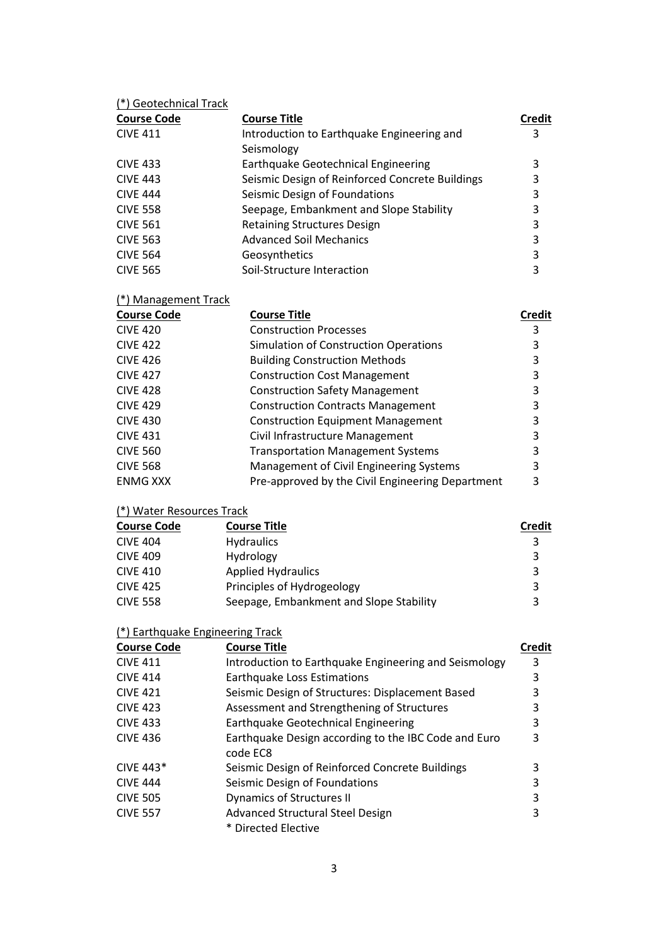| (*) Geotechnical Track |                                                 |        |
|------------------------|-------------------------------------------------|--------|
| <b>Course Code</b>     | <b>Course Title</b>                             | Credit |
| <b>CIVE 411</b>        | Introduction to Earthquake Engineering and      | 3      |
|                        | Seismology                                      |        |
| <b>CIVE 433</b>        | Earthquake Geotechnical Engineering             | 3      |
| <b>CIVE 443</b>        | Seismic Design of Reinforced Concrete Buildings | 3      |
| <b>CIVE 444</b>        | Seismic Design of Foundations                   | 3      |
| <b>CIVE 558</b>        | Seepage, Embankment and Slope Stability         | 3      |
| <b>CIVE 561</b>        | <b>Retaining Structures Design</b>              | 3      |
| <b>CIVE 563</b>        | <b>Advanced Soil Mechanics</b>                  | 3      |
| <b>CIVE 564</b>        | Geosynthetics                                   | 3      |
| <b>CIVE 565</b>        | Soil-Structure Interaction                      | 3      |

| <b>Course Code</b> | <b>Course Title</b>                              | Credit |
|--------------------|--------------------------------------------------|--------|
| <b>CIVE 420</b>    | <b>Construction Processes</b>                    | 3      |
| <b>CIVE 422</b>    | Simulation of Construction Operations            | 3      |
| <b>CIVE 426</b>    | <b>Building Construction Methods</b>             | 3      |
| <b>CIVE 427</b>    | <b>Construction Cost Management</b>              | 3      |
| <b>CIVE 428</b>    | <b>Construction Safety Management</b>            | 3      |
| <b>CIVE 429</b>    | <b>Construction Contracts Management</b>         | 3      |
| <b>CIVE 430</b>    | <b>Construction Equipment Management</b>         | 3      |
| <b>CIVE 431</b>    | Civil Infrastructure Management                  | 3      |
| <b>CIVE 560</b>    | <b>Transportation Management Systems</b>         | 3      |
| <b>CIVE 568</b>    | Management of Civil Engineering Systems          | 3      |
| <b>ENMG XXX</b>    | Pre-approved by the Civil Engineering Department | 3      |

## (\*) Water Resources Track

(\*) Management Track

| <b>Course Code</b> | <b>Course Title</b>                     | <b>Credit</b> |
|--------------------|-----------------------------------------|---------------|
| <b>CIVE 404</b>    | <b>Hydraulics</b>                       |               |
| <b>CIVE 409</b>    | Hydrology                               | 3             |
| <b>CIVE 410</b>    | <b>Applied Hydraulics</b>               | 3             |
| <b>CIVE 425</b>    | Principles of Hydrogeology              | 3             |
| <b>CIVE 558</b>    | Seepage, Embankment and Slope Stability |               |

| (*) Earthquake Engineering Track |  |  |  |
|----------------------------------|--|--|--|
|                                  |  |  |  |

| <b>Course Code</b> | <b>Course Title</b>                                              | <b>Credit</b> |
|--------------------|------------------------------------------------------------------|---------------|
| <b>CIVE 411</b>    | Introduction to Earthquake Engineering and Seismology            | 3             |
| <b>CIVE 414</b>    | Earthquake Loss Estimations                                      | 3             |
| <b>CIVE 421</b>    | Seismic Design of Structures: Displacement Based                 | 3             |
| <b>CIVE 423</b>    | Assessment and Strengthening of Structures                       | 3             |
| <b>CIVE 433</b>    | Earthquake Geotechnical Engineering                              | 3             |
| <b>CIVE 436</b>    | Earthquake Design according to the IBC Code and Euro<br>code EC8 | 3             |
| CIVE 443 $*$       | Seismic Design of Reinforced Concrete Buildings                  | 3             |
| <b>CIVE 444</b>    | Seismic Design of Foundations                                    | 3             |
| <b>CIVE 505</b>    | <b>Dynamics of Structures II</b>                                 | 3             |
| <b>CIVE 557</b>    | <b>Advanced Structural Steel Design</b>                          | 3             |
|                    | * Directed Elective                                              |               |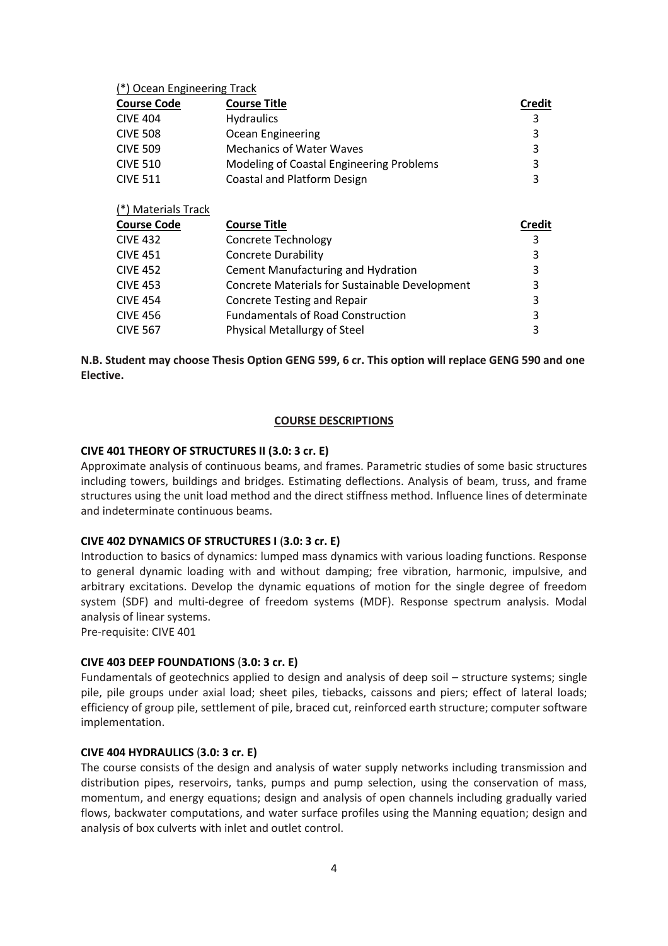#### (\*) Ocean Engineering Track

| <b>Course Code</b>  | <b>Course Title</b>                            | <b>Credit</b> |
|---------------------|------------------------------------------------|---------------|
| <b>CIVE 404</b>     | <b>Hydraulics</b>                              | 3             |
| <b>CIVE 508</b>     | Ocean Engineering                              | 3             |
| <b>CIVE 509</b>     | <b>Mechanics of Water Waves</b>                | 3             |
| <b>CIVE 510</b>     | Modeling of Coastal Engineering Problems       | 3             |
| <b>CIVE 511</b>     | <b>Coastal and Platform Design</b>             | 3             |
| (*) Materials Track |                                                |               |
|                     |                                                |               |
| <b>Course Code</b>  | <b>Course Title</b>                            | Credit        |
| <b>CIVE 432</b>     | <b>Concrete Technology</b>                     | 3             |
| <b>CIVE 451</b>     | <b>Concrete Durability</b>                     | 3             |
| <b>CIVE 452</b>     | Cement Manufacturing and Hydration             | 3             |
| <b>CIVE 453</b>     | Concrete Materials for Sustainable Development | 3             |
| <b>CIVE 454</b>     | <b>Concrete Testing and Repair</b>             | 3             |
| <b>CIVE 456</b>     | <b>Fundamentals of Road Construction</b>       | 3             |

**N.B. Student may choose Thesis Option GENG 599, 6 cr. This option will replace GENG 590 and one Elective.**

#### **COURSE DESCRIPTIONS**

#### **CIVE 401 THEORY OF STRUCTURES II (3.0: 3 cr. E)**

Approximate analysis of continuous beams, and frames. Parametric studies of some basic structures including towers, buildings and bridges. Estimating deflections. Analysis of beam, truss, and frame structures using the unit load method and the direct stiffness method. Influence lines of determinate and indeterminate continuous beams.

#### **CIVE 402 DYNAMICS OF STRUCTURES I** (**3.0: 3 cr. E)**

Introduction to basics of dynamics: lumped mass dynamics with various loading functions. Response to general dynamic loading with and without damping; free vibration, harmonic, impulsive, and arbitrary excitations. Develop the dynamic equations of motion for the single degree of freedom system (SDF) and multi-degree of freedom systems (MDF). Response spectrum analysis. Modal analysis of linear systems.

Pre-requisite: CIVE 401

#### **CIVE 403 DEEP FOUNDATIONS** (**3.0: 3 cr. E)**

Fundamentals of geotechnics applied to design and analysis of deep soil – structure systems; single pile, pile groups under axial load; sheet piles, tiebacks, caissons and piers; effect of lateral loads; efficiency of group pile, settlement of pile, braced cut, reinforced earth structure; computer software implementation.

#### **CIVE 404 HYDRAULICS** (**3.0: 3 cr. E)**

The course consists of the design and analysis of water supply networks including transmission and distribution pipes, reservoirs, tanks, pumps and pump selection, using the conservation of mass, momentum, and energy equations; design and analysis of open channels including gradually varied flows, backwater computations, and water surface profiles using the Manning equation; design and analysis of box culverts with inlet and outlet control.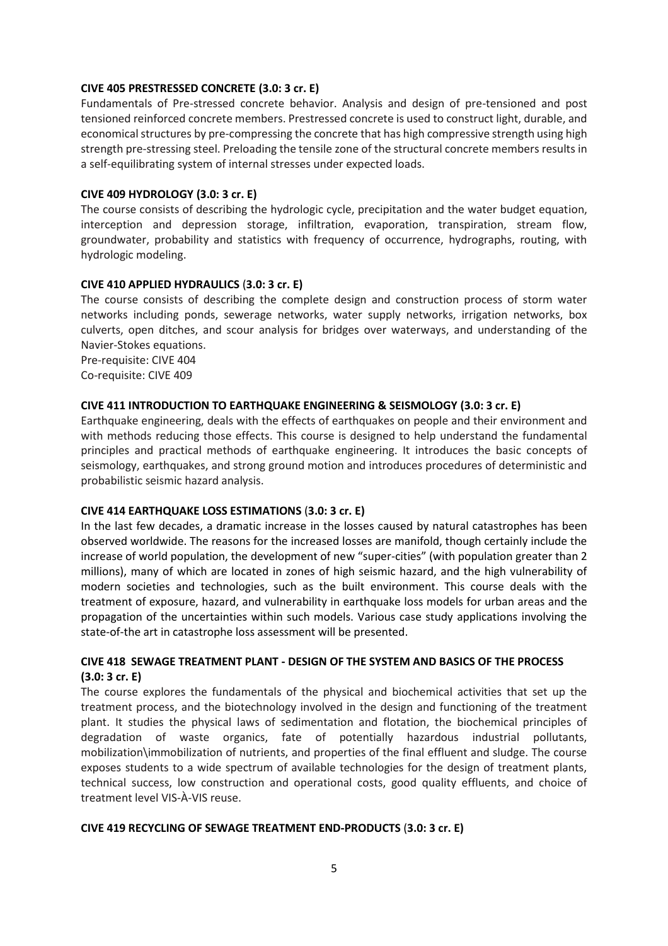## **CIVE 405 PRESTRESSED CONCRETE (3.0: 3 cr. E)**

Fundamentals of Pre-stressed concrete behavior. Analysis and design of pre-tensioned and post tensioned reinforced concrete members. Prestressed concrete is used to construct light, durable, and economical structures by pre-compressing the concrete that has high compressive strength using high strength pre-stressing steel. Preloading the tensile zone of the structural concrete members results in a self-equilibrating system of internal stresses under expected loads.

## **CIVE 409 HYDROLOGY (3.0: 3 cr. E)**

The course consists of describing the hydrologic cycle, precipitation and the water budget equation, interception and depression storage, infiltration, evaporation, transpiration, stream flow, groundwater, probability and statistics with frequency of occurrence, hydrographs, routing, with hydrologic modeling.

## **CIVE 410 APPLIED HYDRAULICS** (**3.0: 3 cr. E)**

The course consists of describing the complete design and construction process of storm water networks including ponds, sewerage networks, water supply networks, irrigation networks, box culverts, open ditches, and scour analysis for bridges over waterways, and understanding of the Navier-Stokes equations.

Pre-requisite: CIVE 404 Co-requisite: CIVE 409

## **CIVE 411 INTRODUCTION TO EARTHQUAKE ENGINEERING & SEISMOLOGY (3.0: 3 cr. E)**

Earthquake engineering, deals with the effects of earthquakes on people and their environment and with methods reducing those effects. This course is designed to help understand the fundamental principles and practical methods of earthquake engineering. It introduces the basic concepts of seismology, earthquakes, and strong ground motion and introduces procedures of deterministic and probabilistic seismic hazard analysis.

## **CIVE 414 EARTHQUAKE LOSS ESTIMATIONS** (**3.0: 3 cr. E)**

In the last few decades, a dramatic increase in the losses caused by natural catastrophes has been observed worldwide. The reasons for the increased losses are manifold, though certainly include the increase of world population, the development of new "super-cities" (with population greater than 2 millions), many of which are located in zones of high seismic hazard, and the high vulnerability of modern societies and technologies, such as the built environment. This course deals with the treatment of exposure, hazard, and vulnerability in earthquake loss models for urban areas and the propagation of the uncertainties within such models. Various case study applications involving the state-of-the art in catastrophe loss assessment will be presented.

## **CIVE 418 SEWAGE TREATMENT PLANT - DESIGN OF THE SYSTEM AND BASICS OF THE PROCESS (3.0: 3 cr. E)**

The course explores the fundamentals of the physical and biochemical activities that set up the treatment process, and the biotechnology involved in the design and functioning of the treatment plant. It studies the physical laws of sedimentation and flotation, the biochemical principles of degradation of waste organics, fate of potentially hazardous industrial pollutants, mobilization\immobilization of nutrients, and properties of the final effluent and sludge. The course exposes students to a wide spectrum of available technologies for the design of treatment plants, technical success, low construction and operational costs, good quality effluents, and choice of treatment level VIS-À-VIS reuse.

## **CIVE 419 RECYCLING OF SEWAGE TREATMENT END-PRODUCTS** (**3.0: 3 cr. E)**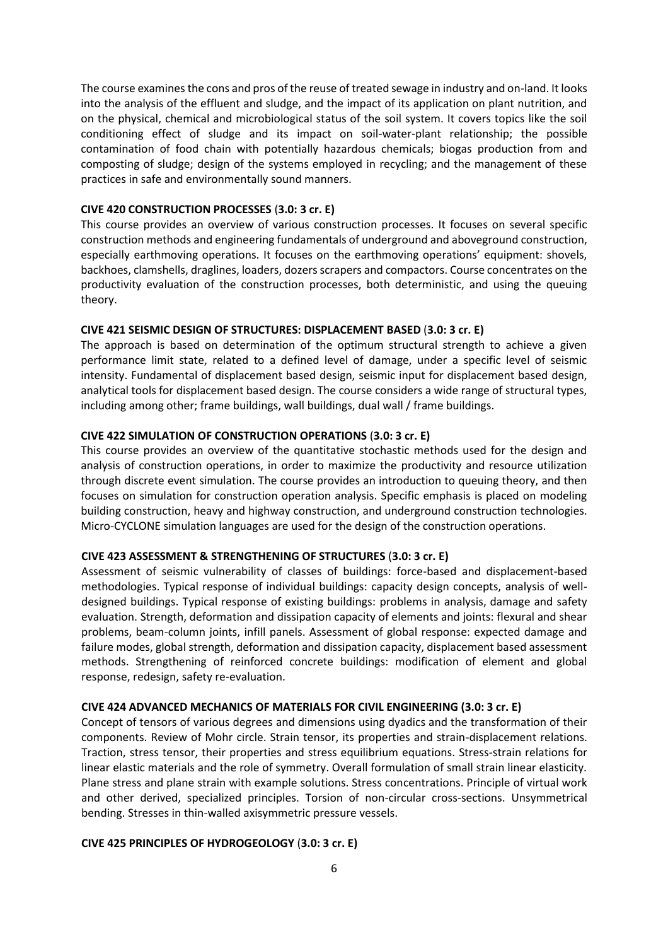The course examines the cons and pros of the reuse of treated sewage in industry and on-land. It looks into the analysis of the effluent and sludge, and the impact of its application on plant nutrition, and on the physical, chemical and microbiological status of the soil system. It covers topics like the soil conditioning effect of sludge and its impact on soil-water-plant relationship; the possible contamination of food chain with potentially hazardous chemicals; biogas production from and composting of sludge; design of the systems employed in recycling; and the management of these practices in safe and environmentally sound manners.

#### **CIVE 420 CONSTRUCTION PROCESSES** (**3.0: 3 cr. E)**

This course provides an overview of various construction processes. It focuses on several specific construction methods and engineering fundamentals of underground and aboveground construction, especially earthmoving operations. It focuses on the earthmoving operations' equipment: shovels, backhoes, clamshells, draglines, loaders, dozers scrapers and compactors. Course concentrates on the productivity evaluation of the construction processes, both deterministic, and using the queuing theory.

#### **CIVE 421 SEISMIC DESIGN OF STRUCTURES: DISPLACEMENT BASED** (**3.0: 3 cr. E)**

The approach is based on determination of the optimum structural strength to achieve a given performance limit state, related to a defined level of damage, under a specific level of seismic intensity. Fundamental of displacement based design, seismic input for displacement based design, analytical tools for displacement based design. The course considers a wide range of structural types, including among other; frame buildings, wall buildings, dual wall / frame buildings.

## **CIVE 422 SIMULATION OF CONSTRUCTION OPERATIONS** (**3.0: 3 cr. E)**

This course provides an overview of the quantitative stochastic methods used for the design and analysis of construction operations, in order to maximize the productivity and resource utilization through discrete event simulation. The course provides an introduction to queuing theory, and then focuses on simulation for construction operation analysis. Specific emphasis is placed on modeling building construction, heavy and highway construction, and underground construction technologies. Micro-CYCLONE simulation languages are used for the design of the construction operations.

#### **CIVE 423 ASSESSMENT & STRENGTHENING OF STRUCTURES** (**3.0: 3 cr. E)**

Assessment of seismic vulnerability of classes of buildings: force-based and displacement-based methodologies. Typical response of individual buildings: capacity design concepts, analysis of welldesigned buildings. Typical response of existing buildings: problems in analysis, damage and safety evaluation. Strength, deformation and dissipation capacity of elements and joints: flexural and shear problems, beam-column joints, infill panels. Assessment of global response: expected damage and failure modes, global strength, deformation and dissipation capacity, displacement based assessment methods. Strengthening of reinforced concrete buildings: modification of element and global response, redesign, safety re-evaluation.

#### **CIVE 424 ADVANCED MECHANICS OF MATERIALS FOR CIVIL ENGINEERING (3.0: 3 cr. E)**

Concept of tensors of various degrees and dimensions using dyadics and the transformation of their components. Review of Mohr circle. Strain tensor, its properties and strain-displacement relations. Traction, stress tensor, their properties and stress equilibrium equations. Stress-strain relations for linear elastic materials and the role of symmetry. Overall formulation of small strain linear elasticity. Plane stress and plane strain with example solutions. Stress concentrations. Principle of virtual work and other derived, specialized principles. Torsion of non-circular cross-sections. Unsymmetrical bending. Stresses in thin-walled axisymmetric pressure vessels.

#### **CIVE 425 PRINCIPLES OF HYDROGEOLOGY** (**3.0: 3 cr. E)**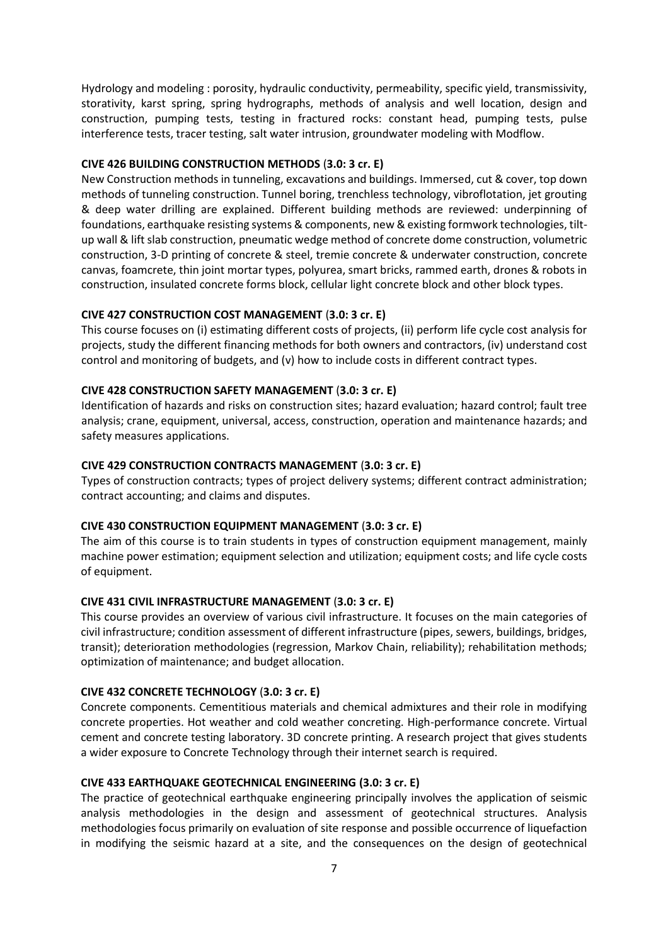Hydrology and modeling : porosity, hydraulic conductivity, permeability, specific yield, transmissivity, storativity, karst spring, spring hydrographs, methods of analysis and well location, design and construction, pumping tests, testing in fractured rocks: constant head, pumping tests, pulse interference tests, tracer testing, salt water intrusion, groundwater modeling with Modflow.

#### **CIVE 426 BUILDING CONSTRUCTION METHODS** (**3.0: 3 cr. E)**

New Construction methods in tunneling, excavations and buildings. Immersed, cut & cover, top down methods of tunneling construction. Tunnel boring, trenchless technology, vibroflotation, jet grouting & deep water drilling are explained. Different building methods are reviewed: underpinning of foundations, earthquake resisting systems & components, new & existing formwork technologies, tiltup wall & lift slab construction, pneumatic wedge method of concrete dome construction, volumetric construction, 3-D printing of concrete & steel, tremie concrete & underwater construction, concrete canvas, foamcrete, thin joint mortar types, polyurea, smart bricks, rammed earth, drones & robots in construction, insulated concrete forms block, cellular light concrete block and other block types.

#### **CIVE 427 CONSTRUCTION COST MANAGEMENT** (**3.0: 3 cr. E)**

This course focuses on (i) estimating different costs of projects, (ii) perform life cycle cost analysis for projects, study the different financing methods for both owners and contractors, (iv) understand cost control and monitoring of budgets, and (v) how to include costs in different contract types.

#### **CIVE 428 CONSTRUCTION SAFETY MANAGEMENT** (**3.0: 3 cr. E)**

Identification of hazards and risks on construction sites; hazard evaluation; hazard control; fault tree analysis; crane, equipment, universal, access, construction, operation and maintenance hazards; and safety measures applications.

#### **CIVE 429 CONSTRUCTION CONTRACTS MANAGEMENT** (**3.0: 3 cr. E)**

Types of construction contracts; types of project delivery systems; different contract administration; contract accounting; and claims and disputes.

#### **CIVE 430 CONSTRUCTION EQUIPMENT MANAGEMENT** (**3.0: 3 cr. E)**

The aim of this course is to train students in types of construction equipment management, mainly machine power estimation; equipment selection and utilization; equipment costs; and life cycle costs of equipment.

#### **CIVE 431 CIVIL INFRASTRUCTURE MANAGEMENT** (**3.0: 3 cr. E)**

This course provides an overview of various civil infrastructure. It focuses on the main categories of civil infrastructure; condition assessment of different infrastructure (pipes, sewers, buildings, bridges, transit); deterioration methodologies (regression, Markov Chain, reliability); rehabilitation methods; optimization of maintenance; and budget allocation.

#### **CIVE 432 CONCRETE TECHNOLOGY** (**3.0: 3 cr. E)**

Concrete components. Cementitious materials and chemical admixtures and their role in modifying concrete properties. Hot weather and cold weather concreting. High-performance concrete. Virtual cement and concrete testing laboratory. 3D concrete printing. A research project that gives students a wider exposure to Concrete Technology through their internet search is required.

#### **CIVE 433 EARTHQUAKE GEOTECHNICAL ENGINEERING (3.0: 3 cr. E)**

The practice of geotechnical earthquake engineering principally involves the application of seismic analysis methodologies in the design and assessment of geotechnical structures. Analysis methodologies focus primarily on evaluation of site response and possible occurrence of liquefaction in modifying the seismic hazard at a site, and the consequences on the design of geotechnical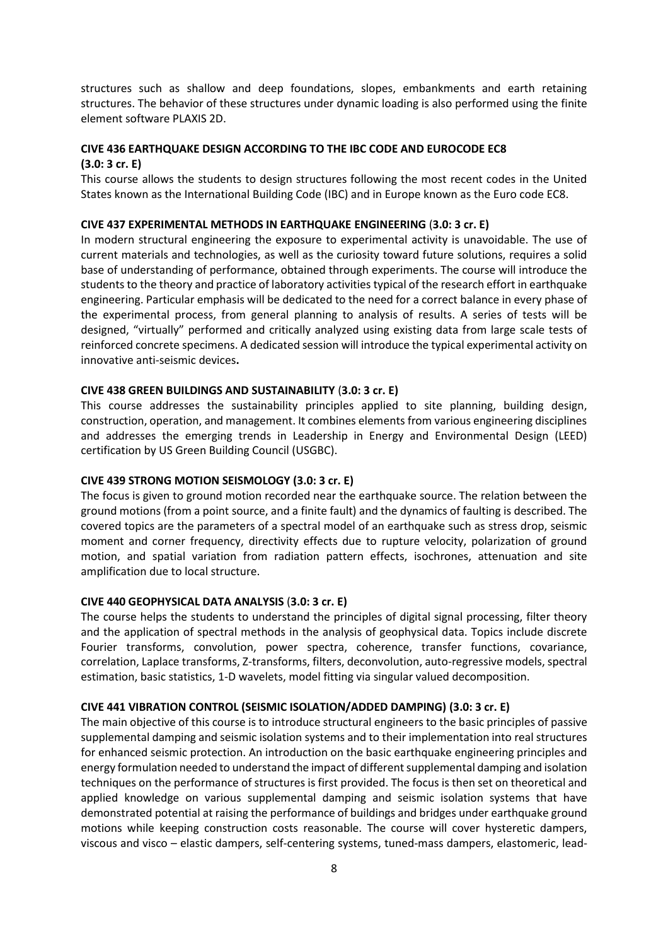structures such as shallow and deep foundations, slopes, embankments and earth retaining structures. The behavior of these structures under dynamic loading is also performed using the finite element software PLAXIS 2D.

## **CIVE 436 EARTHQUAKE DESIGN ACCORDING TO THE IBC CODE AND EUROCODE EC8**

#### **(3.0: 3 cr. E)**

This course allows the students to design structures following the most recent codes in the United States known as the International Building Code (IBC) and in Europe known as the Euro code EC8.

#### **CIVE 437 EXPERIMENTAL METHODS IN EARTHQUAKE ENGINEERING** (**3.0: 3 cr. E)**

In modern structural engineering the exposure to experimental activity is unavoidable. The use of current materials and technologies, as well as the curiosity toward future solutions, requires a solid base of understanding of performance, obtained through experiments. The course will introduce the students to the theory and practice of laboratory activities typical of the research effort in earthquake engineering. Particular emphasis will be dedicated to the need for a correct balance in every phase of the experimental process, from general planning to analysis of results. A series of tests will be designed, "virtually" performed and critically analyzed using existing data from large scale tests of reinforced concrete specimens. A dedicated session will introduce the typical experimental activity on innovative anti-seismic devices**.**

## **CIVE 438 GREEN BUILDINGS AND SUSTAINABILITY** (**3.0: 3 cr. E)**

This course addresses the sustainability principles applied to site planning, building design, construction, operation, and management. It combines elements from various engineering disciplines and addresses the emerging trends in Leadership in Energy and Environmental Design (LEED) certification by US Green Building Council (USGBC).

## **CIVE 439 STRONG MOTION SEISMOLOGY (3.0: 3 cr. E)**

The focus is given to ground motion recorded near the earthquake source. The relation between the ground motions (from a point source, and a finite fault) and the dynamics of faulting is described. The covered topics are the parameters of a spectral model of an earthquake such as stress drop, seismic moment and corner frequency, directivity effects due to rupture velocity, polarization of ground motion, and spatial variation from radiation pattern effects, isochrones, attenuation and site amplification due to local structure.

#### **CIVE 440 GEOPHYSICAL DATA ANALYSIS** (**3.0: 3 cr. E)**

The course helps the students to understand the principles of digital signal processing, filter theory and the application of spectral methods in the analysis of geophysical data. Topics include discrete Fourier transforms, convolution, power spectra, coherence, transfer functions, covariance, correlation, Laplace transforms, Z-transforms, filters, deconvolution, auto-regressive models, spectral estimation, basic statistics, 1-D wavelets, model fitting via singular valued decomposition.

#### **CIVE 441 VIBRATION CONTROL (SEISMIC ISOLATION/ADDED DAMPING) (3.0: 3 cr. E)**

The main objective of this course is to introduce structural engineers to the basic principles of passive supplemental damping and seismic isolation systems and to their implementation into real structures for enhanced seismic protection. An introduction on the basic earthquake engineering principles and energy formulation needed to understand the impact of different supplemental damping and isolation techniques on the performance of structures is first provided. The focus is then set on theoretical and applied knowledge on various supplemental damping and seismic isolation systems that have demonstrated potential at raising the performance of buildings and bridges under earthquake ground motions while keeping construction costs reasonable. The course will cover hysteretic dampers, viscous and visco – elastic dampers, self-centering systems, tuned-mass dampers, elastomeric, lead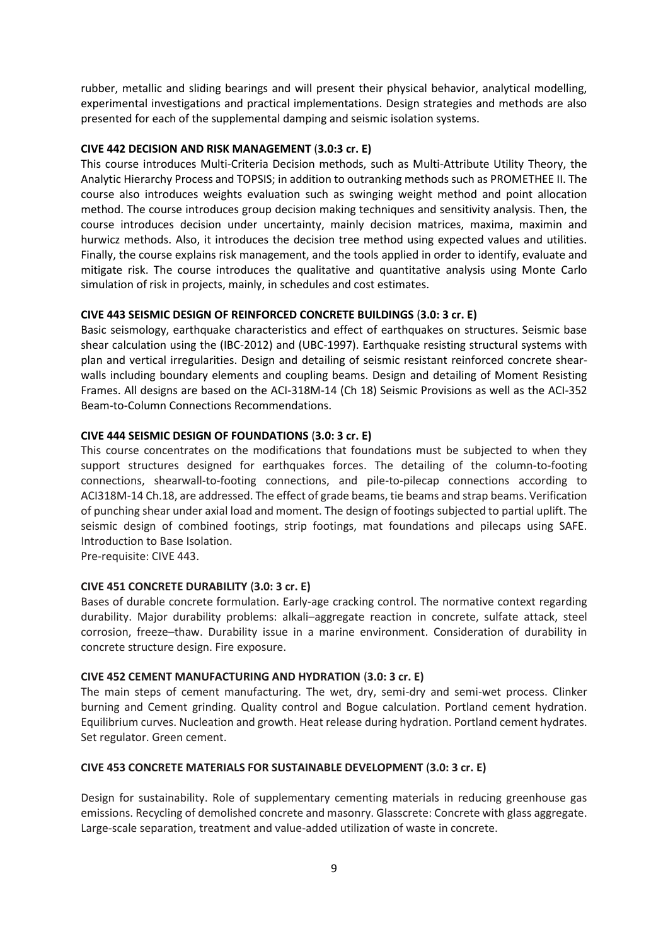rubber, metallic and sliding bearings and will present their physical behavior, analytical modelling, experimental investigations and practical implementations. Design strategies and methods are also presented for each of the supplemental damping and seismic isolation systems.

## **CIVE 442 DECISION AND RISK MANAGEMENT** (**3.0:3 cr. E)**

This course introduces Multi-Criteria Decision methods, such as Multi-Attribute Utility Theory, the Analytic Hierarchy Process and TOPSIS; in addition to outranking methods such as PROMETHEE II. The course also introduces weights evaluation such as swinging weight method and point allocation method. The course introduces group decision making techniques and sensitivity analysis. Then, the course introduces decision under uncertainty, mainly decision matrices, maxima, maximin and hurwicz methods. Also, it introduces the decision tree method using expected values and utilities. Finally, the course explains risk management, and the tools applied in order to identify, evaluate and mitigate risk. The course introduces the qualitative and quantitative analysis using Monte Carlo simulation of risk in projects, mainly, in schedules and cost estimates.

#### **CIVE 443 SEISMIC DESIGN OF REINFORCED CONCRETE BUILDINGS** (**3.0: 3 cr. E)**

Basic seismology, earthquake characteristics and effect of earthquakes on structures. Seismic base shear calculation using the (IBC-2012) and (UBC-1997). Earthquake resisting structural systems with plan and vertical irregularities. Design and detailing of seismic resistant reinforced concrete shearwalls including boundary elements and coupling beams. Design and detailing of Moment Resisting Frames. All designs are based on the ACI-318M-14 (Ch 18) Seismic Provisions as well as the ACI-352 Beam-to-Column Connections Recommendations.

#### **CIVE 444 SEISMIC DESIGN OF FOUNDATIONS** (**3.0: 3 cr. E)**

This course concentrates on the modifications that foundations must be subjected to when they support structures designed for earthquakes forces. The detailing of the column-to-footing connections, shearwall-to-footing connections, and pile-to-pilecap connections according to ACI318M-14 Ch.18, are addressed. The effect of grade beams, tie beams and strap beams. Verification of punching shear under axial load and moment. The design of footings subjected to partial uplift. The seismic design of combined footings, strip footings, mat foundations and pilecaps using SAFE. Introduction to Base Isolation.

Pre-requisite: CIVE 443.

#### **CIVE 451 CONCRETE DURABILITY** (**3.0: 3 cr. E)**

Bases of durable concrete formulation. Early-age cracking control. The normative context regarding durability. Major durability problems: alkali–aggregate reaction in concrete, sulfate attack, steel corrosion, freeze–thaw. Durability issue in a marine environment. Consideration of durability in concrete structure design. Fire exposure.

#### **CIVE 452 CEMENT MANUFACTURING AND HYDRATION** (**3.0: 3 cr. E)**

The main steps of cement manufacturing. The wet, dry, semi-dry and semi-wet process. Clinker burning and Cement grinding. Quality control and Bogue calculation. Portland cement hydration. Equilibrium curves. Nucleation and growth. Heat release during hydration. Portland cement hydrates. Set regulator. Green cement.

#### **CIVE 453 CONCRETE MATERIALS FOR SUSTAINABLE DEVELOPMENT** (**3.0: 3 cr. E)**

Design for sustainability. Role of supplementary cementing materials in reducing greenhouse gas emissions. Recycling of demolished concrete and masonry. Glasscrete: Concrete with glass aggregate. Large-scale separation, treatment and value-added utilization of waste in concrete.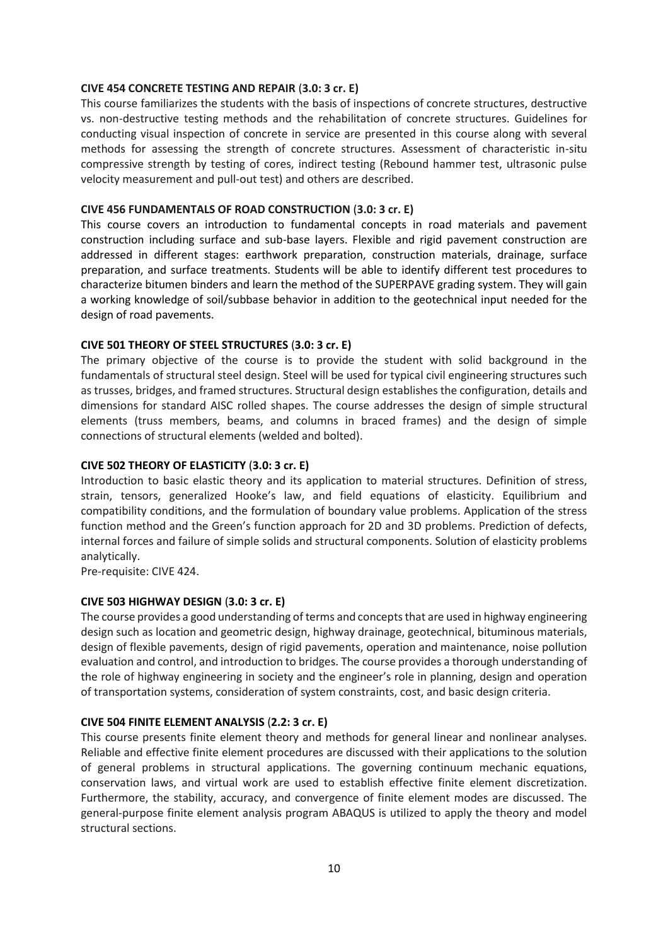#### **CIVE 454 CONCRETE TESTING AND REPAIR** (**3.0: 3 cr. E)**

This course familiarizes the students with the basis of inspections of concrete structures, destructive vs. non-destructive testing methods and the rehabilitation of concrete structures. Guidelines for conducting visual inspection of concrete in service are presented in this course along with several methods for assessing the strength of concrete structures. Assessment of characteristic in-situ compressive strength by testing of cores, indirect testing (Rebound hammer test, ultrasonic pulse velocity measurement and pull-out test) and others are described.

## **CIVE 456 FUNDAMENTALS OF ROAD CONSTRUCTION** (**3.0: 3 cr. E)**

This course covers an introduction to fundamental concepts in road materials and pavement construction including surface and sub-base layers. Flexible and rigid pavement construction are addressed in different stages: earthwork preparation, construction materials, drainage, surface preparation, and surface treatments. Students will be able to identify different test procedures to characterize bitumen binders and learn the method of the SUPERPAVE grading system. They will gain a working knowledge of soil/subbase behavior in addition to the geotechnical input needed for the design of road pavements.

## **CIVE 501 THEORY OF STEEL STRUCTURES** (**3.0: 3 cr. E)**

The primary objective of the course is to provide the student with solid background in the fundamentals of structural steel design. Steel will be used for typical civil engineering structures such as trusses, bridges, and framed structures. Structural design establishes the configuration, details and dimensions for standard AISC rolled shapes. The course addresses the design of simple structural elements (truss members, beams, and columns in braced frames) and the design of simple connections of structural elements (welded and bolted).

## **CIVE 502 THEORY OF ELASTICITY** (**3.0: 3 cr. E)**

Introduction to basic elastic theory and its application to material structures. Definition of stress, strain, tensors, generalized Hooke's law, and field equations of elasticity. Equilibrium and compatibility conditions, and the formulation of boundary value problems. Application of the stress function method and the Green's function approach for 2D and 3D problems. Prediction of defects, internal forces and failure of simple solids and structural components. Solution of elasticity problems analytically.

Pre-requisite: CIVE 424.

## **CIVE 503 HIGHWAY DESIGN** (**3.0: 3 cr. E)**

The course provides a good understanding of terms and concepts that are used in highway engineering design such as location and geometric design, highway drainage, geotechnical, bituminous materials, design of flexible pavements, design of rigid pavements, operation and maintenance, noise pollution evaluation and control, and introduction to bridges. The course provides a thorough understanding of the role of highway engineering in society and the engineer's role in planning, design and operation of transportation systems, consideration of system constraints, cost, and basic design criteria.

## **CIVE 504 FINITE ELEMENT ANALYSIS** (**2.2: 3 cr. E)**

This course presents finite element theory and methods for general linear and nonlinear analyses. Reliable and effective finite element procedures are discussed with their applications to the solution of general problems in structural applications. The governing continuum mechanic equations, conservation laws, and virtual work are used to establish effective finite element discretization. Furthermore, the stability, accuracy, and convergence of finite element modes are discussed. The general-purpose finite element analysis program ABAQUS is utilized to apply the theory and model structural sections.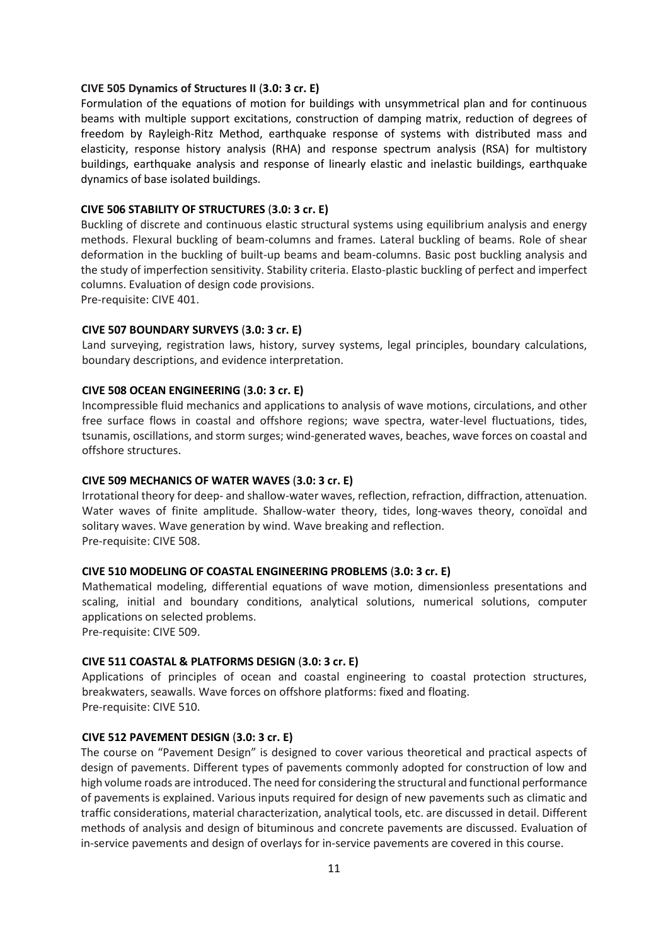## **CIVE 505 Dynamics of Structures II** (**3.0: 3 cr. E)**

Formulation of the equations of motion for buildings with unsymmetrical plan and for continuous beams with multiple support excitations, construction of damping matrix, reduction of degrees of freedom by Rayleigh-Ritz Method, earthquake response of systems with distributed mass and elasticity, response history analysis (RHA) and response spectrum analysis (RSA) for multistory buildings, earthquake analysis and response of linearly elastic and inelastic buildings, earthquake dynamics of base isolated buildings.

#### **CIVE 506 STABILITY OF STRUCTURES** (**3.0: 3 cr. E)**

Buckling of discrete and continuous elastic structural systems using equilibrium analysis and energy methods. Flexural buckling of beam-columns and frames. Lateral buckling of beams. Role of shear deformation in the buckling of built-up beams and beam-columns. Basic post buckling analysis and the study of imperfection sensitivity. Stability criteria. Elasto-plastic buckling of perfect and imperfect columns. Evaluation of design code provisions.

Pre-requisite: CIVE 401.

#### **CIVE 507 BOUNDARY SURVEYS** (**3.0: 3 cr. E)**

Land surveying, registration laws, history, survey systems, legal principles, boundary calculations, boundary descriptions, and evidence interpretation.

#### **CIVE 508 OCEAN ENGINEERING** (**3.0: 3 cr. E)**

Incompressible fluid mechanics and applications to analysis of wave motions, circulations, and other free surface flows in coastal and offshore regions; wave spectra, water-level fluctuations, tides, tsunamis, oscillations, and storm surges; wind-generated waves, beaches, wave forces on coastal and offshore structures.

#### **CIVE 509 MECHANICS OF WATER WAVES** (**3.0: 3 cr. E)**

Irrotational theory for deep- and shallow-water waves, reflection, refraction, diffraction, attenuation. Water waves of finite amplitude. Shallow-water theory, tides, long-waves theory, conoïdal and solitary waves. Wave generation by wind. Wave breaking and reflection. Pre-requisite: CIVE 508.

#### **CIVE 510 MODELING OF COASTAL ENGINEERING PROBLEMS** (**3.0: 3 cr. E)**

Mathematical modeling, differential equations of wave motion, dimensionless presentations and scaling, initial and boundary conditions, analytical solutions, numerical solutions, computer applications on selected problems.

Pre-requisite: CIVE 509.

#### **CIVE 511 COASTAL & PLATFORMS DESIGN** (**3.0: 3 cr. E)**

Applications of principles of ocean and coastal engineering to coastal protection structures, breakwaters, seawalls. Wave forces on offshore platforms: fixed and floating. Pre-requisite: CIVE 510.

#### **CIVE 512 PAVEMENT DESIGN** (**3.0: 3 cr. E)**

The course on "Pavement Design" is designed to cover various theoretical and practical aspects of design of pavements. Different types of pavements commonly adopted for construction of low and high volume roads are introduced. The need for considering the structural and functional performance of pavements is explained. Various inputs required for design of new pavements such as climatic and traffic considerations, material characterization, analytical tools, etc. are discussed in detail. Different methods of analysis and design of bituminous and concrete pavements are discussed. Evaluation of in-service pavements and design of overlays for in-service pavements are covered in this course.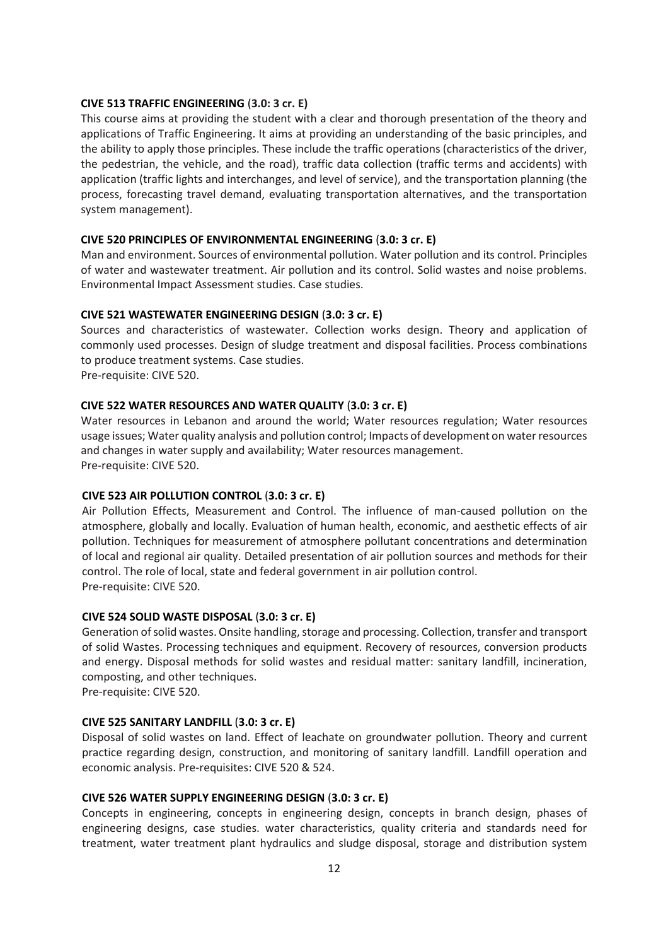## **CIVE 513 TRAFFIC ENGINEERING** (**3.0: 3 cr. E)**

This course aims at providing the student with a clear and thorough presentation of the theory and applications of Traffic Engineering. It aims at providing an understanding of the basic principles, and the ability to apply those principles. These include the traffic operations (characteristics of the driver, the pedestrian, the vehicle, and the road), traffic data collection (traffic terms and accidents) with application (traffic lights and interchanges, and level of service), and the transportation planning (the process, forecasting travel demand, evaluating transportation alternatives, and the transportation system management).

#### **CIVE 520 PRINCIPLES OF ENVIRONMENTAL ENGINEERING** (**3.0: 3 cr. E)**

Man and environment. Sources of environmental pollution. Water pollution and its control. Principles of water and wastewater treatment. Air pollution and its control. Solid wastes and noise problems. Environmental Impact Assessment studies. Case studies.

#### **CIVE 521 WASTEWATER ENGINEERING DESIGN** (**3.0: 3 cr. E)**

Sources and characteristics of wastewater. Collection works design. Theory and application of commonly used processes. Design of sludge treatment and disposal facilities. Process combinations to produce treatment systems. Case studies. Pre-requisite: CIVE 520.

## **CIVE 522 WATER RESOURCES AND WATER QUALITY** (**3.0: 3 cr. E)**

Water resources in Lebanon and around the world; Water resources regulation; Water resources usage issues; Water quality analysis and pollution control; Impacts of development on water resources and changes in water supply and availability; Water resources management. Pre-requisite: CIVE 520.

#### **CIVE 523 AIR POLLUTION CONTROL** (**3.0: 3 cr. E)**

Air Pollution Effects, Measurement and Control. The influence of man-caused pollution on the atmosphere, globally and locally. Evaluation of human health, economic, and aesthetic effects of air pollution. Techniques for measurement of atmosphere pollutant concentrations and determination of local and regional air quality. Detailed presentation of air pollution sources and methods for their control. The role of local, state and federal government in air pollution control. Pre-requisite: CIVE 520.

#### **CIVE 524 SOLID WASTE DISPOSAL** (**3.0: 3 cr. E)**

Generation of solid wastes. Onsite handling, storage and processing. Collection, transfer and transport of solid Wastes. Processing techniques and equipment. Recovery of resources, conversion products and energy. Disposal methods for solid wastes and residual matter: sanitary landfill, incineration, composting, and other techniques.

Pre-requisite: CIVE 520.

#### **CIVE 525 SANITARY LANDFILL** (**3.0: 3 cr. E)**

Disposal of solid wastes on land. Effect of leachate on groundwater pollution. Theory and current practice regarding design, construction, and monitoring of sanitary landfill. Landfill operation and economic analysis. Pre-requisites: CIVE 520 & 524.

#### **CIVE 526 WATER SUPPLY ENGINEERING DESIGN** (**3.0: 3 cr. E)**

Concepts in engineering, concepts in engineering design, concepts in branch design, phases of engineering designs, case studies. water characteristics, quality criteria and standards need for treatment, water treatment plant hydraulics and sludge disposal, storage and distribution system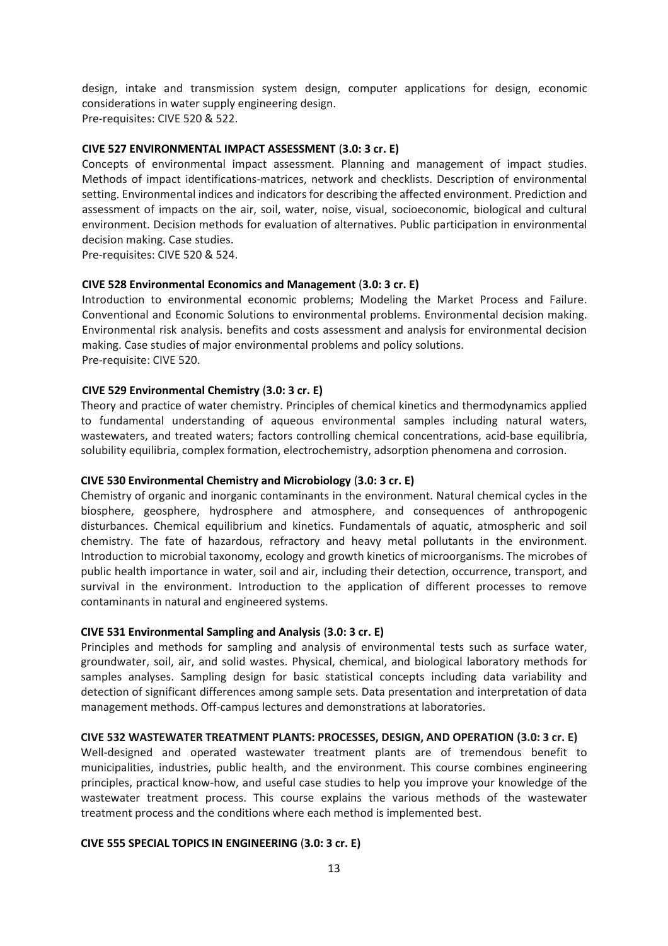design, intake and transmission system design, computer applications for design, economic considerations in water supply engineering design. Pre-requisites: CIVE 520 & 522.

#### **CIVE 527 ENVIRONMENTAL IMPACT ASSESSMENT** (**3.0: 3 cr. E)**

Concepts of environmental impact assessment. Planning and management of impact studies. Methods of impact identifications-matrices, network and checklists. Description of environmental setting. Environmental indices and indicators for describing the affected environment. Prediction and assessment of impacts on the air, soil, water, noise, visual, socioeconomic, biological and cultural environment. Decision methods for evaluation of alternatives. Public participation in environmental decision making. Case studies.

Pre-requisites: CIVE 520 & 524.

#### **CIVE 528 Environmental Economics and Management** (**3.0: 3 cr. E)**

Introduction to environmental economic problems; Modeling the Market Process and Failure. Conventional and Economic Solutions to environmental problems. Environmental decision making. Environmental risk analysis. benefits and costs assessment and analysis for environmental decision making. Case studies of major environmental problems and policy solutions. Pre-requisite: CIVE 520.

#### **CIVE 529 Environmental Chemistry** (**3.0: 3 cr. E)**

Theory and practice of water chemistry. Principles of chemical kinetics and thermodynamics applied to fundamental understanding of aqueous environmental samples including natural waters, wastewaters, and treated waters; factors controlling chemical concentrations, acid-base equilibria, solubility equilibria, complex formation, electrochemistry, adsorption phenomena and corrosion.

## **CIVE 530 Environmental Chemistry and Microbiology** (**3.0: 3 cr. E)**

Chemistry of organic and inorganic contaminants in the environment. Natural chemical cycles in the biosphere, geosphere, hydrosphere and atmosphere, and consequences of anthropogenic disturbances. Chemical equilibrium and kinetics. Fundamentals of aquatic, atmospheric and soil chemistry. The fate of hazardous, refractory and heavy metal pollutants in the environment. Introduction to microbial taxonomy, ecology and growth kinetics of microorganisms. The microbes of public health importance in water, soil and air, including their detection, occurrence, transport, and survival in the environment. Introduction to the application of different processes to remove contaminants in natural and engineered systems.

#### **CIVE 531 Environmental Sampling and Analysis** (**3.0: 3 cr. E)**

Principles and methods for sampling and analysis of environmental tests such as surface water, groundwater, soil, air, and solid wastes. Physical, chemical, and biological laboratory methods for samples analyses. Sampling design for basic statistical concepts including data variability and detection of significant differences among sample sets. Data presentation and interpretation of data management methods. Off-campus lectures and demonstrations at laboratories.

#### **CIVE 532 WASTEWATER TREATMENT PLANTS: PROCESSES, DESIGN, AND OPERATION (3.0: 3 cr. E)**

Well-designed and operated wastewater treatment plants are of tremendous benefit to municipalities, industries, public health, and the environment. This course combines engineering principles, practical know-how, and useful case studies to help you improve your knowledge of the wastewater treatment process. This course explains the various methods of the wastewater treatment process and the conditions where each method is implemented best.

#### **CIVE 555 SPECIAL TOPICS IN ENGINEERING** (**3.0: 3 cr. E)**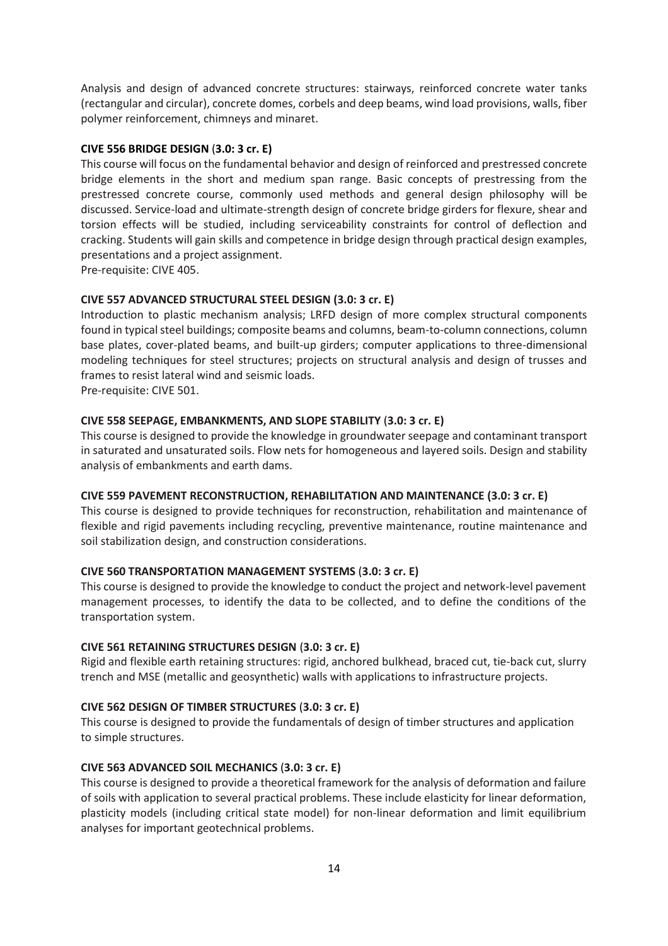Analysis and design of advanced concrete structures: stairways, reinforced concrete water tanks (rectangular and circular), concrete domes, corbels and deep beams, wind load provisions, walls, fiber polymer reinforcement, chimneys and minaret.

## **CIVE 556 BRIDGE DESIGN** (**3.0: 3 cr. E)**

This course will focus on the fundamental behavior and design of reinforced and prestressed concrete bridge elements in the short and medium span range. Basic concepts of prestressing from the prestressed concrete course, commonly used methods and general design philosophy will be discussed. Service-load and ultimate-strength design of concrete bridge girders for flexure, shear and torsion effects will be studied, including serviceability constraints for control of deflection and cracking. Students will gain skills and competence in bridge design through practical design examples, presentations and a project assignment.

Pre-requisite: CIVE 405.

## **CIVE 557 ADVANCED STRUCTURAL STEEL DESIGN (3.0: 3 cr. E)**

Introduction to plastic mechanism analysis; LRFD design of more complex structural components found in typical steel buildings; composite beams and columns, beam-to-column connections, column base plates, cover-plated beams, and built-up girders; computer applications to three-dimensional modeling techniques for steel structures; projects on structural analysis and design of trusses and frames to resist lateral wind and seismic loads.

Pre-requisite: CIVE 501.

## **CIVE 558 SEEPAGE, EMBANKMENTS, AND SLOPE STABILITY** (**3.0: 3 cr. E)**

This course is designed to provide the knowledge in groundwater seepage and contaminant transport in saturated and unsaturated soils. Flow nets for homogeneous and layered soils. Design and stability analysis of embankments and earth dams.

#### **CIVE 559 PAVEMENT RECONSTRUCTION, REHABILITATION AND MAINTENANCE (3.0: 3 cr. E)**

This course is designed to provide techniques for reconstruction, rehabilitation and maintenance of flexible and rigid pavements including recycling, preventive maintenance, routine maintenance and soil stabilization design, and construction considerations.

#### **CIVE 560 TRANSPORTATION MANAGEMENT SYSTEMS** (**3.0: 3 cr. E)**

This course is designed to provide the knowledge to conduct the project and network-level pavement management processes, to identify the data to be collected, and to define the conditions of the transportation system.

## **CIVE 561 RETAINING STRUCTURES DESIGN** (**3.0: 3 cr. E)**

Rigid and flexible earth retaining structures: rigid, anchored bulkhead, braced cut, tie-back cut, slurry trench and MSE (metallic and geosynthetic) walls with applications to infrastructure projects.

#### **CIVE 562 DESIGN OF TIMBER STRUCTURES** (**3.0: 3 cr. E)**

This course is designed to provide the fundamentals of design of timber structures and application to simple structures.

## **CIVE 563 ADVANCED SOIL MECHANICS** (**3.0: 3 cr. E)**

This course is designed to provide a theoretical framework for the analysis of deformation and failure of soils with application to several practical problems. These include elasticity for linear deformation, plasticity models (including critical state model) for non-linear deformation and limit equilibrium analyses for important geotechnical problems.